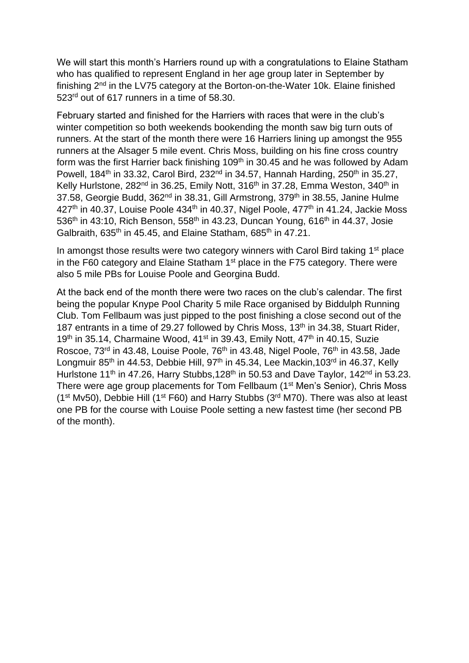We will start this month's Harriers round up with a congratulations to Elaine Statham who has qualified to represent England in her age group later in September by finishing 2nd in the LV75 category at the Borton-on-the-Water 10k. Elaine finished 523rd out of 617 runners in a time of 58.30.

February started and finished for the Harriers with races that were in the club's winter competition so both weekends bookending the month saw big turn outs of runners. At the start of the month there were 16 Harriers lining up amongst the 955 runners at the Alsager 5 mile event. Chris Moss, building on his fine cross country form was the first Harrier back finishing 109<sup>th</sup> in 30.45 and he was followed by Adam Powell, 184<sup>th</sup> in 33.32, Carol Bird, 232<sup>nd</sup> in 34.57, Hannah Harding, 250<sup>th</sup> in 35.27, Kelly Hurlstone, 282<sup>nd</sup> in 36.25, Emily Nott, 316<sup>th</sup> in 37.28, Emma Weston, 340<sup>th</sup> in 37.58, Georgie Budd, 362<sup>nd</sup> in 38.31, Gill Armstrong, 379<sup>th</sup> in 38.55, Janine Hulme  $427<sup>th</sup>$  in 40.37, Louise Poole 434<sup>th</sup> in 40.37, Nigel Poole, 477<sup>th</sup> in 41.24, Jackie Moss 536<sup>th</sup> in 43:10, Rich Benson, 558<sup>th</sup> in 43.23, Duncan Young, 616<sup>th</sup> in 44.37, Josie Galbraith,  $635<sup>th</sup>$  in 45.45, and Elaine Statham,  $685<sup>th</sup>$  in 47.21.

In amongst those results were two category winners with Carol Bird taking 1<sup>st</sup> place in the F60 category and Elaine Statham  $1<sup>st</sup>$  place in the F75 category. There were also 5 mile PBs for Louise Poole and Georgina Budd.

At the back end of the month there were two races on the club's calendar. The first being the popular Knype Pool Charity 5 mile Race organised by Biddulph Running Club. Tom Fellbaum was just pipped to the post finishing a close second out of the 187 entrants in a time of 29.27 followed by Chris Moss, 13<sup>th</sup> in 34.38, Stuart Rider, 19<sup>th</sup> in 35.14, Charmaine Wood, 41<sup>st</sup> in 39.43, Emily Nott, 47<sup>th</sup> in 40.15, Suzie Roscoe, 73<sup>rd</sup> in 43.48, Louise Poole, 76<sup>th</sup> in 43.48, Nigel Poole, 76<sup>th</sup> in 43.58, Jade Longmuir 85<sup>th</sup> in 44.53, Debbie Hill, 97<sup>th</sup> in 45.34, Lee Mackin, 103<sup>rd</sup> in 46.37, Kelly Hurlstone 11<sup>th</sup> in 47.26, Harry Stubbs, 128<sup>th</sup> in 50.53 and Dave Taylor, 142<sup>nd</sup> in 53.23. There were age group placements for Tom Fellbaum (1<sup>st</sup> Men's Senior), Chris Moss ( $1<sup>st</sup> Mv50$ ), Debbie Hill ( $1<sup>st</sup> F60$ ) and Harry Stubbs ( $3<sup>rd</sup> M70$ ). There was also at least one PB for the course with Louise Poole setting a new fastest time (her second PB of the month).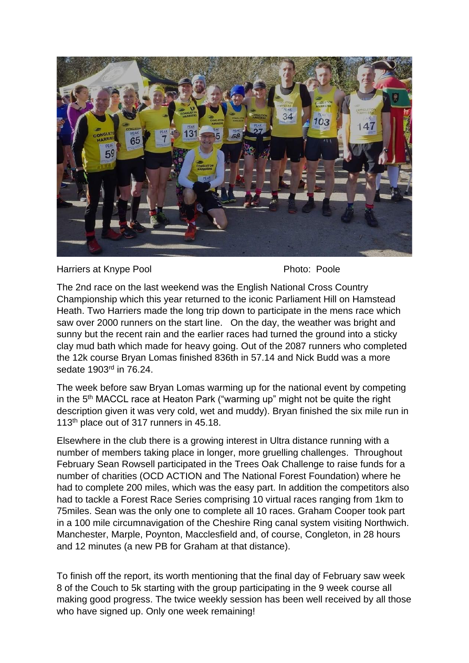

Harriers at Knype Pool **Photo: Poole** Photo: Poole

The 2nd race on the last weekend was the English National Cross Country Championship which this year returned to the iconic Parliament Hill on Hamstead Heath. Two Harriers made the long trip down to participate in the mens race which saw over 2000 runners on the start line. On the day, the weather was bright and sunny but the recent rain and the earlier races had turned the ground into a sticky clay mud bath which made for heavy going. Out of the 2087 runners who completed the 12k course Bryan Lomas finished 836th in 57.14 and Nick Budd was a more sedate 1903rd in 76.24.

The week before saw Bryan Lomas warming up for the national event by competing in the 5th MACCL race at Heaton Park ("warming up" might not be quite the right description given it was very cold, wet and muddy). Bryan finished the six mile run in 113<sup>th</sup> place out of 317 runners in 45.18.

Elsewhere in the club there is a growing interest in Ultra distance running with a number of members taking place in longer, more gruelling challenges. Throughout February Sean Rowsell participated in the Trees Oak Challenge to raise funds for a number of charities (OCD ACTION and The National Forest Foundation) where he had to complete 200 miles, which was the easy part. In addition the competitors also had to tackle a Forest Race Series comprising 10 virtual races ranging from 1km to 75miles. Sean was the only one to complete all 10 races. Graham Cooper took part in a 100 mile circumnavigation of the Cheshire Ring canal system visiting Northwich. Manchester, Marple, Poynton, Macclesfield and, of course, Congleton, in 28 hours and 12 minutes (a new PB for Graham at that distance).

To finish off the report, its worth mentioning that the final day of February saw week 8 of the Couch to 5k starting with the group participating in the 9 week course all making good progress. The twice weekly session has been well received by all those who have signed up. Only one week remaining!